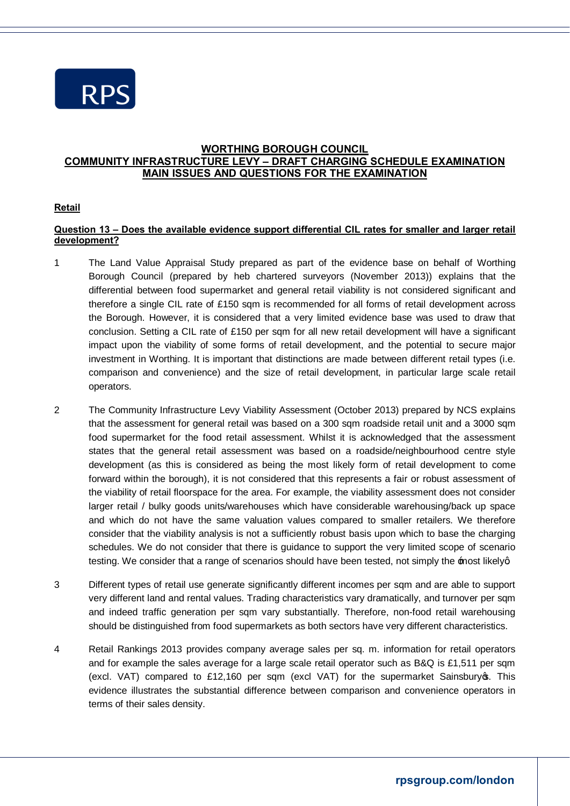

## **WORTHING BOROUGH COUNCIL COMMUNITY INFRASTRUCTURE LEVY – DRAFT CHARGING SCHEDULE EXAMINATION MAIN ISSUES AND QUESTIONS FOR THE EXAMINATION**

## **Retail**

## **Question 13 – Does the available evidence support differential CIL rates for smaller and larger retail development?**

- 1 The Land Value Appraisal Study prepared as part of the evidence base on behalf of Worthing Borough Council (prepared by heb chartered surveyors (November 2013)) explains that the differential between food supermarket and general retail viability is not considered significant and therefore a single CIL rate of £150 sqm is recommended for all forms of retail development across the Borough. However, it is considered that a very limited evidence base was used to draw that conclusion. Setting a CIL rate of £150 per sqm for all new retail development will have a significant impact upon the viability of some forms of retail development, and the potential to secure major investment in Worthing. It is important that distinctions are made between different retail types (i.e. comparison and convenience) and the size of retail development, in particular large scale retail operators.
- 2 The Community Infrastructure Levy Viability Assessment (October 2013) prepared by NCS explains that the assessment for general retail was based on a 300 sqm roadside retail unit and a 3000 sqm food supermarket for the food retail assessment. Whilst it is acknowledged that the assessment states that the general retail assessment was based on a roadside/neighbourhood centre style development (as this is considered as being the most likely form of retail development to come forward within the borough), it is not considered that this represents a fair or robust assessment of the viability of retail floorspace for the area. For example, the viability assessment does not consider larger retail / bulky goods units/warehouses which have considerable warehousing/back up space and which do not have the same valuation values compared to smaller retailers. We therefore consider that the viability analysis is not a sufficiently robust basis upon which to base the charging schedules. We do not consider that there is guidance to support the very limited scope of scenario testing. We consider that a range of scenarios should have been tested, not simply the  $\texttt{most likelyq}$ .
- 3 Different types of retail use generate significantly different incomes per sqm and are able to support very different land and rental values. Trading characteristics vary dramatically, and turnover per sqm and indeed traffic generation per sqm vary substantially. Therefore, non-food retail warehousing should be distinguished from food supermarkets as both sectors have very different characteristics.
- 4 Retail Rankings 2013 provides company average sales per sq. m. information for retail operators and for example the sales average for a large scale retail operator such as B&Q is £1,511 per sqm (excl. VAT) compared to £12,160 per sqm (excl VAT) for the supermarket Sainsbury  $\infty$ . This evidence illustrates the substantial difference between comparison and convenience operators in terms of their sales density.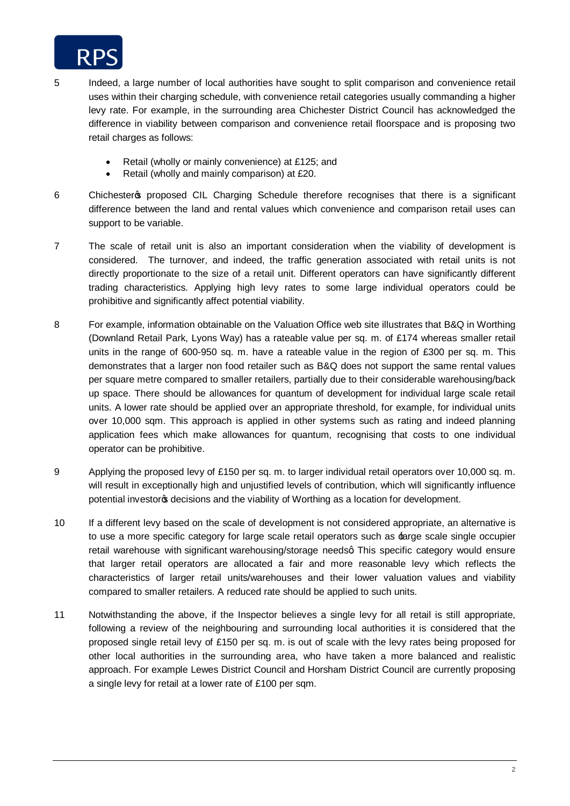

- 5 Indeed, a large number of local authorities have sought to split comparison and convenience retail uses within their charging schedule, with convenience retail categories usually commanding a higher levy rate. For example, in the surrounding area Chichester District Council has acknowledged the difference in viability between comparison and convenience retail floorspace and is proposing two retail charges as follows:
	- Retail (wholly or mainly convenience) at £125; and
	- Retail (wholly and mainly comparison) at £20.
- 6 Chichester os proposed CIL Charging Schedule therefore recognises that there is a significant difference between the land and rental values which convenience and comparison retail uses can support to be variable.
- 7 The scale of retail unit is also an important consideration when the viability of development is considered. The turnover, and indeed, the traffic generation associated with retail units is not directly proportionate to the size of a retail unit. Different operators can have significantly different trading characteristics. Applying high levy rates to some large individual operators could be prohibitive and significantly affect potential viability.
- 8 For example, information obtainable on the Valuation Office web site illustrates that B&Q in Worthing (Downland Retail Park, Lyons Way) has a rateable value per sq. m. of £174 whereas smaller retail units in the range of 600-950 sq. m. have a rateable value in the region of £300 per sq. m. This demonstrates that a larger non food retailer such as B&Q does not support the same rental values per square metre compared to smaller retailers, partially due to their considerable warehousing/back up space. There should be allowances for quantum of development for individual large scale retail units. A lower rate should be applied over an appropriate threshold, for example, for individual units over 10,000 sqm. This approach is applied in other systems such as rating and indeed planning application fees which make allowances for quantum, recognising that costs to one individual operator can be prohibitive.
- 9 Applying the proposed levy of £150 per sq. m. to larger individual retail operators over 10,000 sq. m. will result in exceptionally high and unjustified levels of contribution, which will significantly influence potential investors decisions and the viability of Worthing as a location for development.
- 10 If a different levy based on the scale of development is not considered appropriate, an alternative is to use a more specific category for large scale retail operators such as  $\pm$ arge scale single occupier retail warehouse with significant warehousing/storage needsg This specific category would ensure that larger retail operators are allocated a fair and more reasonable levy which reflects the characteristics of larger retail units/warehouses and their lower valuation values and viability compared to smaller retailers. A reduced rate should be applied to such units.
- 11 Notwithstanding the above, if the Inspector believes a single levy for all retail is still appropriate, following a review of the neighbouring and surrounding local authorities it is considered that the proposed single retail levy of £150 per sq. m. is out of scale with the levy rates being proposed for other local authorities in the surrounding area, who have taken a more balanced and realistic approach. For example Lewes District Council and Horsham District Council are currently proposing a single levy for retail at a lower rate of £100 per sqm.